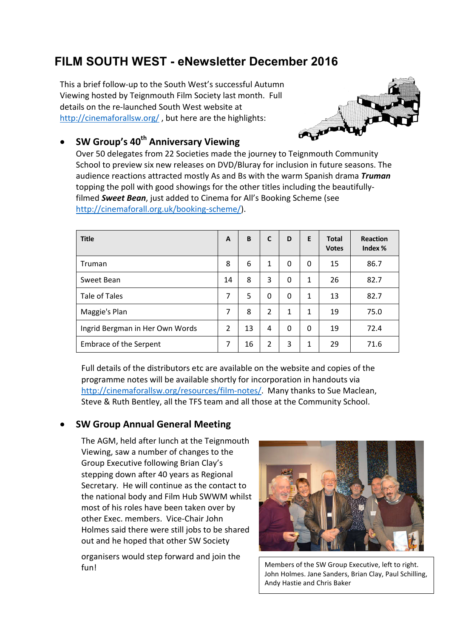# **FILM SOUTH WEST - eNewsletter December 2016**

This a brief follow-up to the South West's successful Autumn Viewing hosted by Teignmouth Film Society last month. Full details on the re-launched South West website at http://cinemaforallsw.org/ , but here are the highlights:



# **SW Group's 40th Anniversary Viewing**

Over 50 delegates from 22 Societies made the journey to Teignmouth Community School to preview six new releases on DVD/Bluray for inclusion in future seasons. The audience reactions attracted mostly As and Bs with the warm Spanish drama *Truman* topping the poll with good showings for the other titles including the beautifullyfilmed *Sweet Bean*, just added to Cinema for All's Booking Scheme (see http://cinemaforall.org.uk/booking-scheme/).

| <b>Title</b>                    | A              | B  | C              | D        | E            | <b>Total</b><br><b>Votes</b> | <b>Reaction</b><br>Index $%$ |
|---------------------------------|----------------|----|----------------|----------|--------------|------------------------------|------------------------------|
| Truman                          | 8              | 6  | $\mathbf{1}$   | 0        | 0            | 15                           | 86.7                         |
| Sweet Bean                      | 14             | 8  | 3              | 0        | $\mathbf{1}$ | 26                           | 82.7                         |
| <b>Tale of Tales</b>            | 7              | 5  | 0              | 0        | 1            | 13                           | 82.7                         |
| Maggie's Plan                   | 7              | 8  | $\overline{2}$ | 1        | 1            | 19                           | 75.0                         |
| Ingrid Bergman in Her Own Words | $\mathfrak{p}$ | 13 | 4              | $\Omega$ | $\mathbf{0}$ | 19                           | 72.4                         |
| <b>Embrace of the Serpent</b>   | 7              | 16 | $\overline{2}$ | 3        | 1            | 29                           | 71.6                         |

Full details of the distributors etc are available on the website and copies of the programme notes will be available shortly for incorporation in handouts via http://cinemaforallsw.org/resources/film-notes/. Many thanks to Sue Maclean, Steve & Ruth Bentley, all the TFS team and all those at the Community School.

## **SW Group Annual General Meeting**

The AGM, held after lunch at the Teignmouth Viewing, saw a number of changes to the Group Executive following Brian Clay's stepping down after 40 years as Regional Secretary. He will continue as the contact to the national body and Film Hub SWWM whilst most of his roles have been taken over by other Exec. members. Vice-Chair John Holmes said there were still jobs to be shared out and he hoped that other SW Society

organisers would step forward and join the fun! Members of the SW Group Executive, left to right.



John Holmes. Jane Sanders, Brian Clay, Paul Schilling, Andy Hastie and Chris Baker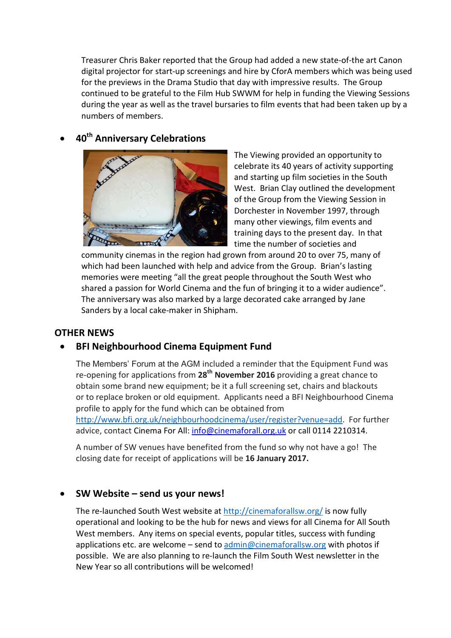Treasurer Chris Baker reported that the Group had added a new state-of-the art Canon digital projector for start-up screenings and hire by CforA members which was being used for the previews in the Drama Studio that day with impressive results. The Group continued to be grateful to the Film Hub SWWM for help in funding the Viewing Sessions during the year as well as the travel bursaries to film events that had been taken up by a numbers of members.

# **40th Anniversary Celebrations**



The Viewing provided an opportunity to celebrate its 40 years of activity supporting and starting up film societies in the South West. Brian Clay outlined the development of the Group from the Viewing Session in Dorchester in November 1997, through many other viewings, film events and training days to the present day. In that time the number of societies and

community cinemas in the region had grown from around 20 to over 75, many of which had been launched with help and advice from the Group. Brian's lasting memories were meeting "all the great people throughout the South West who shared a passion for World Cinema and the fun of bringing it to a wider audience". The anniversary was also marked by a large decorated cake arranged by Jane Sanders by a local cake-maker in Shipham.

#### **OTHER NEWS**

#### **BFI Neighbourhood Cinema Equipment Fund**

The Members' Forum at the AGM included a reminder that the Equipment Fund was re-opening for applications from **28th November 2016** providing a great chance to obtain some brand new equipment; be it a full screening set, chairs and blackouts or to replace broken or old equipment. Applicants need a BFI Neighbourhood Cinema profile to apply for the fund which can be obtained from

http://www.bfi.org.uk/neighbourhoodcinema/user/register?venue=add. For further advice, contact Cinema For All: info@cinemaforall.org.uk or call 0114 2210314.

A number of SW venues have benefited from the fund so why not have a go! The closing date for receipt of applications will be **16 January 2017.**

#### **SW Website – send us your news!**

The re-launched South West website at http://cinemaforallsw.org/ is now fully operational and looking to be the hub for news and views for all Cinema for All South West members. Any items on special events, popular titles, success with funding applications etc. are welcome – send to admin@cinemaforallsw.org with photos if possible. We are also planning to re-launch the Film South West newsletter in the New Year so all contributions will be welcomed!